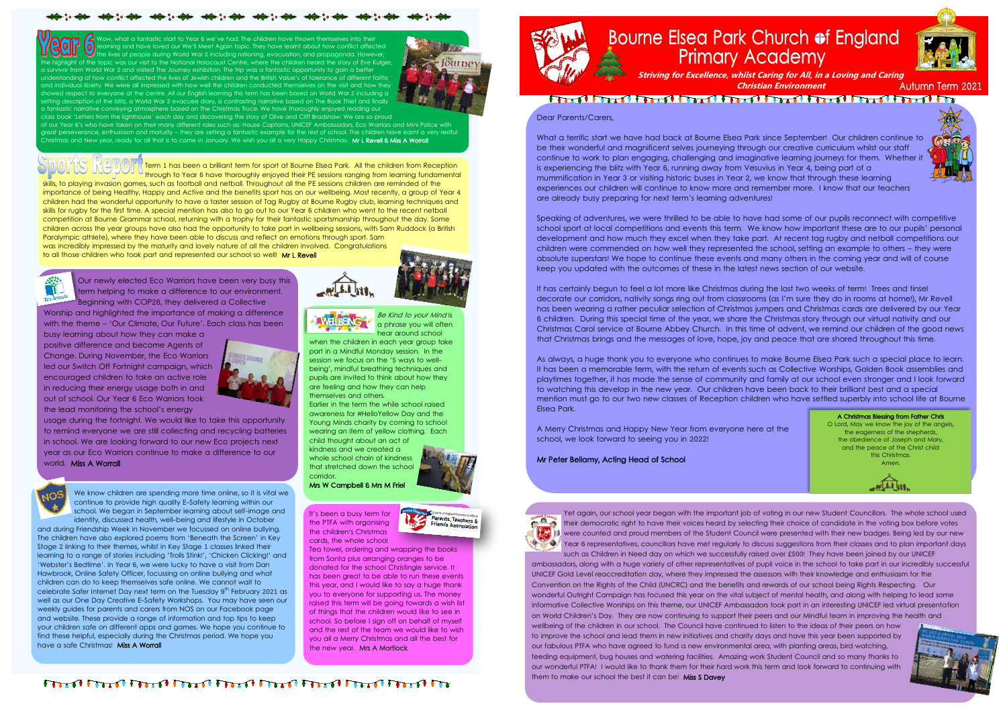It's been a busy term for the PTFA with organising the children's Christmas cards, the whole school

Tea towel, ordering and wrapping the books from Santa plus arranging oranges to be donated for the school Christingle service. It has been great to be able to run these events this year, and I would like to say a huge thank you to everyone for supporting us. The money raised this term will be going towards a wish list of things that the children would like to see in school. So before I sign off on behalf of myself and the rest of the team we would like to wish you all a Merry Christmas and all the best for the new year. Mrs A Mortlock



Be Kind to your Mind is a phrase you will often hear around school



Wow, what a fantastic start to Year 6 we've had. The children have thrown themselves into their and have loved our We'll Meet Again topic. They have learnt about how conflict affected the lives of people during World War 2 including rationing, evacuation, and propaganda. However, of the topic was our visit to the National Holocaust Centre, where the children heard the story of Eve Kulger om World War 2 and visited The Journey exhibition. The trip was a fantastic opportunity to gain a better w conflict affected the lives of Jewish children and the British Value's of tolerance of different faiths liberty. We were all impressed with how well the children conducted themselves on the visit and how they howed respect to everyone at the centre. All our English learning this term has been based on World War 2 including a setting description of the blitz, a World War 2 evacuee diary, a contrasting narrative based on The Book Thief and finally arrative conveying atmosphere based on The Christmas Truce. We have thoroughly enjoyed reading our class book 'Letters from the lighthouse' each day and discovering the story of Olive and Cliff Bradshaw. We are so proud



of our Year 6's who have taken on their many different roles such as: House Captains, UNICEF Ambassador<u>s, Eco Warriors and Mini Police with</u> great perseverance, enthusiasm and maturity – they are setting a fantastic example for the rest of school. The children have earnt a very restful Christmas and New year, ready for all that is to come in January. We wish you all a very Happy Christmas. **Mr L Revell & Miss A Worrall** 

when the children in each year group take part in a Mindful Monday session. In the session we focus on the '5 ways to wellbeing', mindful breathing techniques and pupils are invited to think about how they are feeling and how they can help themselves and others.

and during Friendship Week in November we focussed on online bullying. The children have also explored poems from 'Beneath the Screen' in Key Stage 2 linking to their themes, whilst in Key Stage 1 classes linked their learning to a range of stories including 'Trolls Stink!', 'Chicken Clicking!' and 'Webster's Bedtime'. In Year 6, we were lucky to have a visit from Dan Hawbrook, Online Safety Officer, focussing on online bullying and what children can do to keep themselves safe online. We cannot wait to celebrate Safer Internet Day next term on the Tuesday 9<sup>th</sup> February 2021 as well as our One Day Creative E-Safety Workshops. You may have seen our weekly guides for parents and carers from NOS on our Facebook page and website. These provide a range of information and top tips to keep your children safe on different apps and games. We hope you continue to find these helpful, especially during the Christmas period. We hope you have a safe Christmas! Miss A Worrall



Earlier in the term the while school raised awareness for #HelloYellow Day and the Young Minds charity by coming to school wearing an item of yellow clothing. Each child thought about an act of

kindness and we created a whole school chain of kindness that stretched down the school corridor. Mrs W Campbell & Mrs M Friel



arents, Teachers

Our newly elected Eco Warriors have been very busy this term helping to make a difference to our environment. Beginning with COP26, they delivered a Collective

Worship and highlighted the importance of making a difference with the theme – 'Our Climate, Our Future'. Each class has been

busy learning about how they can make a positive difference and become Agents of Change. During November, the Eco Warriors led our Switch Off Fortnight campaign, which encouraged children to take an active role in reducing their energy usage both in and out of school. Our Year 6 Eco Warriors took the lead monitoring the school's energy



usage during the fortnight. We would like to take this opportunity to remind everyone we are still collecting and recycling batteries in school. We are looking forward to our new Eco projects next year as our Eco Warriors continue to make a difference to our world. Miss A Worrall



We know children are spending more time online, so it is vital we continue to provide high quality E-Safety learning within our school. We began in September learning about self-image and identity, discussed health, well-being and lifestyle in October

Term 1 has been a brilliant term for sport at Bourne Elsea Park. All the children from Reception through to Year 6 have thoroughly enjoyed their PE sessions ranging from learning fundamental skills, to playing invasion games, such as football and netball. Throughout all the PE sessions children are reminded of the importance of being Healthy, Happy and Active and the benefits sport has on our wellbeing. Most recently, a group of Year 4 children had the wonderful opportunity to have a taster session of Tag Rugby at Bourne Rugby club, learning techniques and skills for rugby for the first time. A special mention has also to go out to our Year 6 children who went to the recent netball competition at Bourne Grammar school, returning with a trophy for their fantastic sportsmanship throughout the day. Some children across the year groups have also had the opportunity to take part in wellbeing sessions, with Sam Ruddock (a British Paralympic athlete), where they have been able to discuss and reflect on emotions through sport. Sam was incredibly impressed by the maturity and lovely nature of all the children involved. Congratulations

to all those children who took part and represented our school so well! Mr L Revell





## 

**Christian Environment**



**Autumn Term 2021** 



Dear Parents/Carers,

What a terrific start we have had back at Bourne Elsea Park since September! Our children continue to be their wonderful and magnificent selves journeying through our creative curriculum whilst our staff continue to work to plan engaging, challenging and imaginative learning journeys for them. Whether it is experiencing the blitz with Year 6, running away from Vesuvius in Year 4, being part of a mummification in Year 3 or visiting historic buses in Year 2, we know that through these learning experiences our children will continue to know more and remember more. I know that our teachers are already busy preparing for next term's learning adventures!

Speaking of adventures, we were thrilled to be able to have had some of our pupils reconnect with competitive school sport at local competitions and events this term. We know how important these are to our pupils' personal development and how much they excel when they take part. At recent tag rugby and netball competitions our children were commended on how well they represented the school, setting an example to others – they were absolute superstars! We hope to continue these events and many others in the coming year and will of course keep you updated with the outcomes of these in the latest news section of our website.

It has certainly begun to feel a lot more like Christmas during the last two weeks of term! Trees and tinsel decorate our corridors, nativity songs ring out from classrooms (as I'm sure they do in rooms at home!), Mr Revell has been wearing a rather peculiar selection of Christmas jumpers and Christmas cards are delivered by our Year 6 children. During this special time of the year, we share the Christmas story through our virtual nativity and our Christmas Carol service at Bourne Abbey Church. In this time of advent, we remind our children of the good news that Christmas brings and the messages of love, hope, joy and peace that are shared throughout this time.

As always, a huge thank you to everyone who continues to make Bourne Elsea Park such a special place to learn. It has been a memorable term, with the return of events such as Collective Worships, Golden Book assemblies and playtimes together, it has made the sense of community and family at our school even stronger and I look forward to watching this develop in the new year. Our children have been back to their brilliant best and a special mention must go to our two new classes of Reception children who have settled superbly into school life at Bourne Elsea Park.

A Merry Christmas and Happy New Year from everyone here at the school, we look forward to seeing you in 2022!

Mr Peter Bellamy, Acting Head of School



Yet again, our school year began with the important job of voting in our new Student Councillors. The whole school used their democratic right to have their voices heard by selecting their choice of candidate in the voting box before votes were counted and proud members of the Student Council were presented with their new badges. Being led by our new Year 6 representatives, councillors have met regularly to discuss suggestions from their classes and to plan important days such as Children in Need day on which we successfully raised over £500! They have been joined by our UNICEF

ambassadors, along with a huge variety of other representatives of pupil voice in the school to take part in our incredibly successful UNICEF Gold Level reaccreditation day, where they impressed the assessors with their knowledge and enthusiasm for the Convention on the Rights of the Child (UNCRC) and the benefits and rewards of our school being Rights Respecting. Our wonderful Outright Campaign has focused this year on the vital subject of mental health, and along with helping to lead some informative Collective Worships on this theme, our UNICEF Ambassadors took part in an interesting UNICEF led virtual presentation on World Children's Day. They are now continuing to support their peers and our Mindful team in improving the health and wellbeing of the children in our school. The Council have continued to listen to the ideas of their peers on how to improve the school and lead them in new initiatives and charity days and have this year been supported by our fabulous PTFA who have agreed to fund a new environmental area, with planting areas, bird watching, feeding equipment, bug houses and watering facilities. Amazing work Student Council and so many thanks to our wonderful PTFA! I would like to thank them for their hard work this term and look forward to continuing with them to make our school the best it can be! Miss S Davey

## Bourne Elsea Park Church of England **Primary Academy**